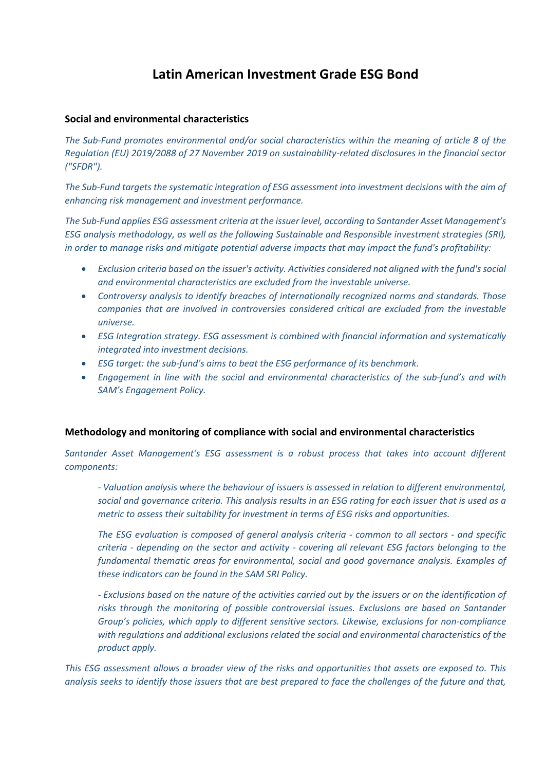## **Latin American Investment Grade ESG Bond**

## **Social and environmental characteristics**

*The Sub-Fund promotes environmental and/or social characteristics within the meaning of article 8 of the Regulation (EU) 2019/2088 of 27 November 2019 on sustainability-related disclosures in the financial sector ("SFDR").*

*The Sub-Fund targets the systematic integration of ESG assessment into investment decisions with the aim of enhancing risk management and investment performance.* 

*The Sub-Fund applies ESG assessment criteria at the issuer level, according to Santander Asset Management's ESG analysis methodology, as well as the following Sustainable and Responsible investment strategies (SRI), in order to manage risks and mitigate potential adverse impacts that may impact the fund's profitability:*

- *Exclusion criteria based on the issuer's activity. Activities considered not aligned with the fund's social and environmental characteristics are excluded from the investable universe.*
- *Controversy analysis to identify breaches of internationally recognized norms and standards. Those companies that are involved in controversies considered critical are excluded from the investable universe.*
- *ESG Integration strategy. ESG assessment is combined with financial information and systematically integrated into investment decisions.*
- *ESG target: the sub-fund's aims to beat the ESG performance of its benchmark.*
- *Engagement in line with the social and environmental characteristics of the sub-fund's and with SAM's Engagement Policy.*

## **Methodology and monitoring of compliance with social and environmental characteristics**

*Santander Asset Management's ESG assessment is a robust process that takes into account different components:*

*- Valuation analysis where the behaviour of issuers is assessed in relation to different environmental, social and governance criteria. This analysis results in an ESG rating for each issuer that is used as a metric to assess their suitability for investment in terms of ESG risks and opportunities.*

*The ESG evaluation is composed of general analysis criteria - common to all sectors - and specific criteria - depending on the sector and activity - covering all relevant ESG factors belonging to the fundamental thematic areas for environmental, social and good governance analysis. Examples of these indicators can be found in the SAM SRI Policy.*

*- Exclusions based on the nature of the activities carried out by the issuers or on the identification of risks through the monitoring of possible controversial issues. Exclusions are based on Santander Group's policies, which apply to different sensitive sectors. Likewise, exclusions for non-compliance with regulations and additional exclusions related the social and environmental characteristics of the product apply.*

*This ESG assessment allows a broader view of the risks and opportunities that assets are exposed to. This analysis seeks to identify those issuers that are best prepared to face the challenges of the future and that,*